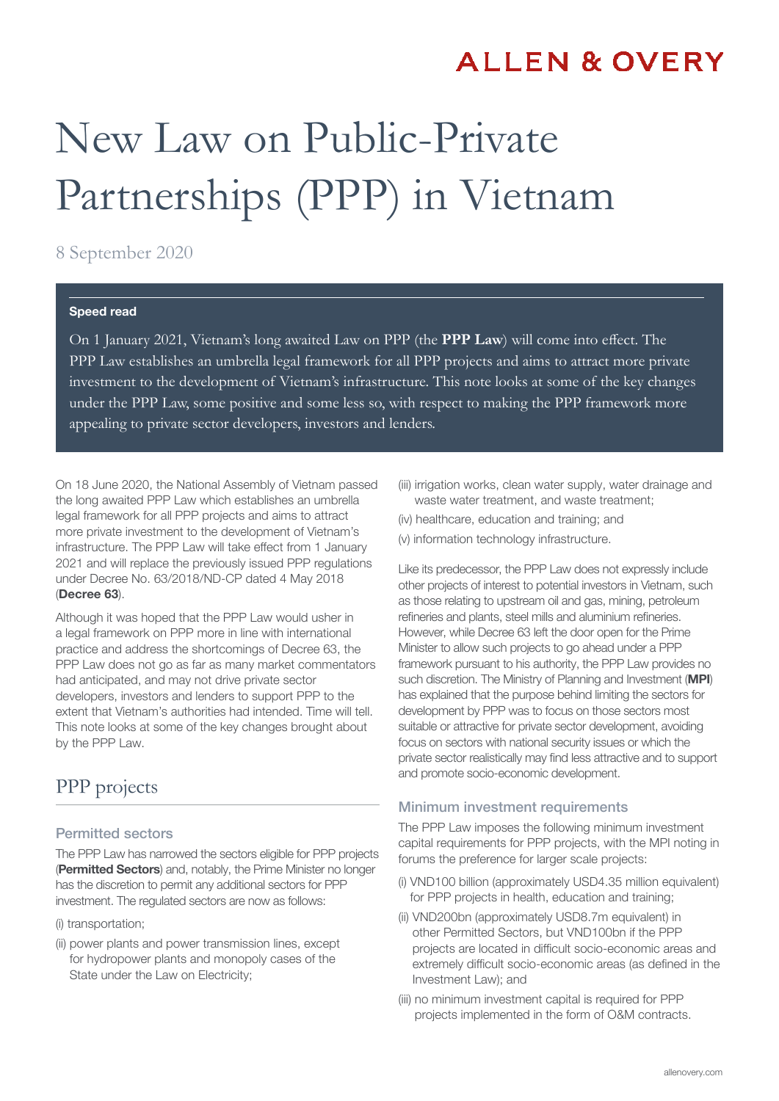## **ALLEN & OVERY**

# New Law on Public-Private Partnerships (PPP) in Vietnam

#### 8 September 2020

#### Speed read

On 1 January 2021, Vietnam's long awaited Law on PPP (the **PPP Law**) will come into effect. The PPP Law establishes an umbrella legal framework for all PPP projects and aims to attract more private investment to the development of Vietnam's infrastructure. This note looks at some of the key changes under the PPP Law, some positive and some less so, with respect to making the PPP framework more appealing to private sector developers, investors and lenders.

On 18 June 2020, the National Assembly of Vietnam passed the long awaited PPP Law which establishes an umbrella legal framework for all PPP projects and aims to attract more private investment to the development of Vietnam's infrastructure. The PPP Law will take effect from 1 January 2021 and will replace the previously issued PPP regulations under Decree No. 63/2018/ND-CP dated 4 May 2018 (Decree 63).

Although it was hoped that the PPP Law would usher in a legal framework on PPP more in line with international practice and address the shortcomings of Decree 63, the PPP Law does not go as far as many market commentators had anticipated, and may not drive private sector developers, investors and lenders to support PPP to the extent that Vietnam's authorities had intended. Time will tell. This note looks at some of the key changes brought about by the PPP Law.

## PPP projects

#### Permitted sectors

The PPP Law has narrowed the sectors eligible for PPP projects (Permitted Sectors) and, notably, the Prime Minister no longer has the discretion to permit any additional sectors for PPP investment. The regulated sectors are now as follows:

- (i) transportation;
- (ii) power plants and power transmission lines, except for hydropower plants and monopoly cases of the State under the Law on Electricity;
- (iii) irrigation works, clean water supply, water drainage and waste water treatment, and waste treatment;
- (iv) healthcare, education and training; and
- (v) information technology infrastructure.

Like its predecessor, the PPP Law does not expressly include other projects of interest to potential investors in Vietnam, such as those relating to upstream oil and gas, mining, petroleum refineries and plants, steel mills and aluminium refineries. However, while Decree 63 left the door open for the Prime Minister to allow such projects to go ahead under a PPP framework pursuant to his authority, the PPP Law provides no such discretion. The Ministry of Planning and Investment (MPI) has explained that the purpose behind limiting the sectors for development by PPP was to focus on those sectors most suitable or attractive for private sector development, avoiding focus on sectors with national security issues or which the private sector realistically may find less attractive and to support and promote socio-economic development.

#### Minimum investment requirements

The PPP Law imposes the following minimum investment capital requirements for PPP projects, with the MPI noting in forums the preference for larger scale projects:

- (i) VND100 billion (approximately USD4.35 million equivalent) for PPP projects in health, education and training;
- (ii) VND200bn (approximately USD8.7m equivalent) in other Permitted Sectors, but VND100bn if the PPP projects are located in difficult socio-economic areas and extremely difficult socio-economic areas (as defined in the Investment Law); and
- (iii) no minimum investment capital is required for PPP projects implemented in the form of O&M contracts.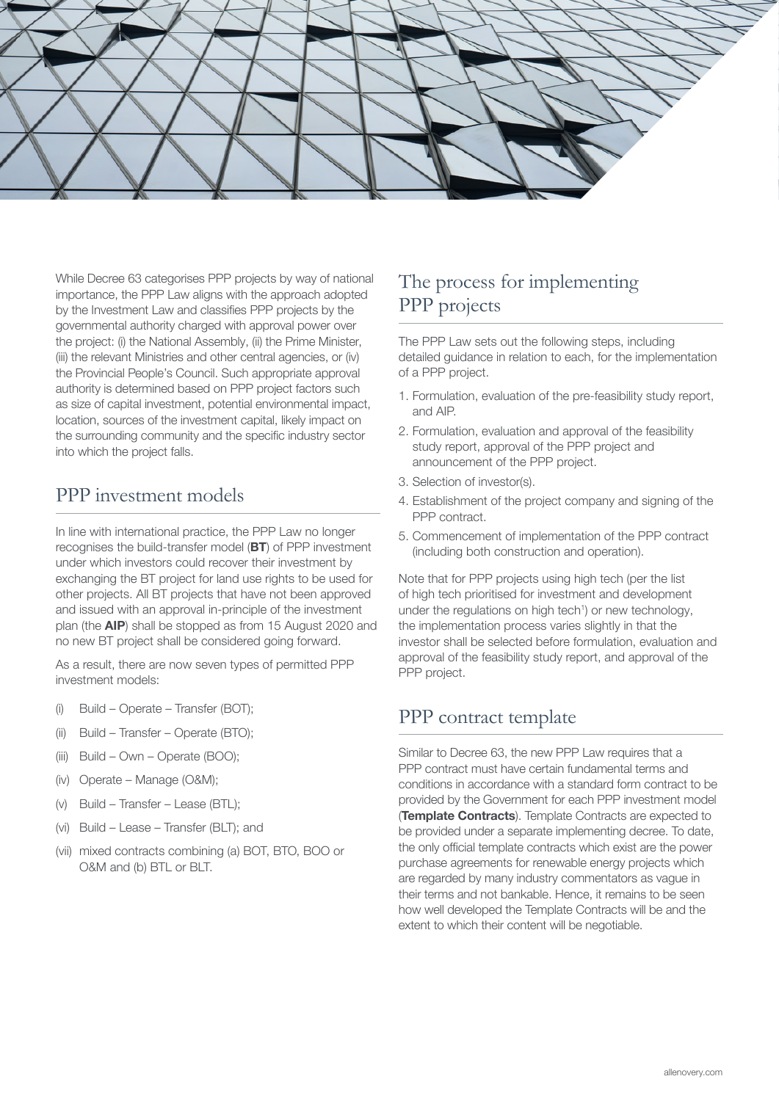

While Decree 63 categorises PPP projects by way of national importance, the PPP Law aligns with the approach adopted by the Investment Law and classifies PPP projects by the governmental authority charged with approval power over the project: (i) the National Assembly, (ii) the Prime Minister, (iii) the relevant Ministries and other central agencies, or (iv) the Provincial People's Council. Such appropriate approval authority is determined based on PPP project factors such as size of capital investment, potential environmental impact, location, sources of the investment capital, likely impact on the surrounding community and the specific industry sector into which the project falls.

## PPP investment models

In line with international practice, the PPP Law no longer recognises the build-transfer model (BT) of PPP investment under which investors could recover their investment by exchanging the BT project for land use rights to be used for other projects. All BT projects that have not been approved and issued with an approval in-principle of the investment plan (the AIP) shall be stopped as from 15 August 2020 and no new BT project shall be considered going forward.

As a result, there are now seven types of permitted PPP investment models:

- (i) Build Operate Transfer (BOT);
- (ii) Build Transfer Operate (BTO);
- (iii) Build Own Operate (BOO);
- (iv) Operate Manage (O&M);
- (v) Build Transfer Lease (BTL);
- (vi) Build Lease Transfer (BLT); and
- (vii) mixed contracts combining (a) BOT, BTO, BOO or O&M and (b) BTL or BLT.

## The process for implementing PPP projects

The PPP Law sets out the following steps, including detailed guidance in relation to each, for the implementation of a PPP project.

- 1. Formulation, evaluation of the pre-feasibility study report, and AIP.
- 2. Formulation, evaluation and approval of the feasibility study report, approval of the PPP project and announcement of the PPP project.
- 3. Selection of investor(s).
- 4. Establishment of the project company and signing of the PPP contract.
- 5. Commencement of implementation of the PPP contract (including both construction and operation).

Note that for PPP projects using high tech (per the list of high tech prioritised for investment and development under the regulations on high tech<sup>1</sup>) or new technology, the implementation process varies slightly in that the investor shall be selected before formulation, evaluation and approval of the feasibility study report, and approval of the PPP project.

## PPP contract template

Similar to Decree 63, the new PPP Law requires that a PPP contract must have certain fundamental terms and conditions in accordance with a standard form contract to be provided by the Government for each PPP investment model **(Template Contracts)**. Template Contracts are expected to be provided under a separate implementing decree. To date, the only official template contracts which exist are the power purchase agreements for renewable energy projects which are regarded by many industry commentators as vague in their terms and not bankable. Hence, it remains to be seen how well developed the Template Contracts will be and the extent to which their content will be negotiable.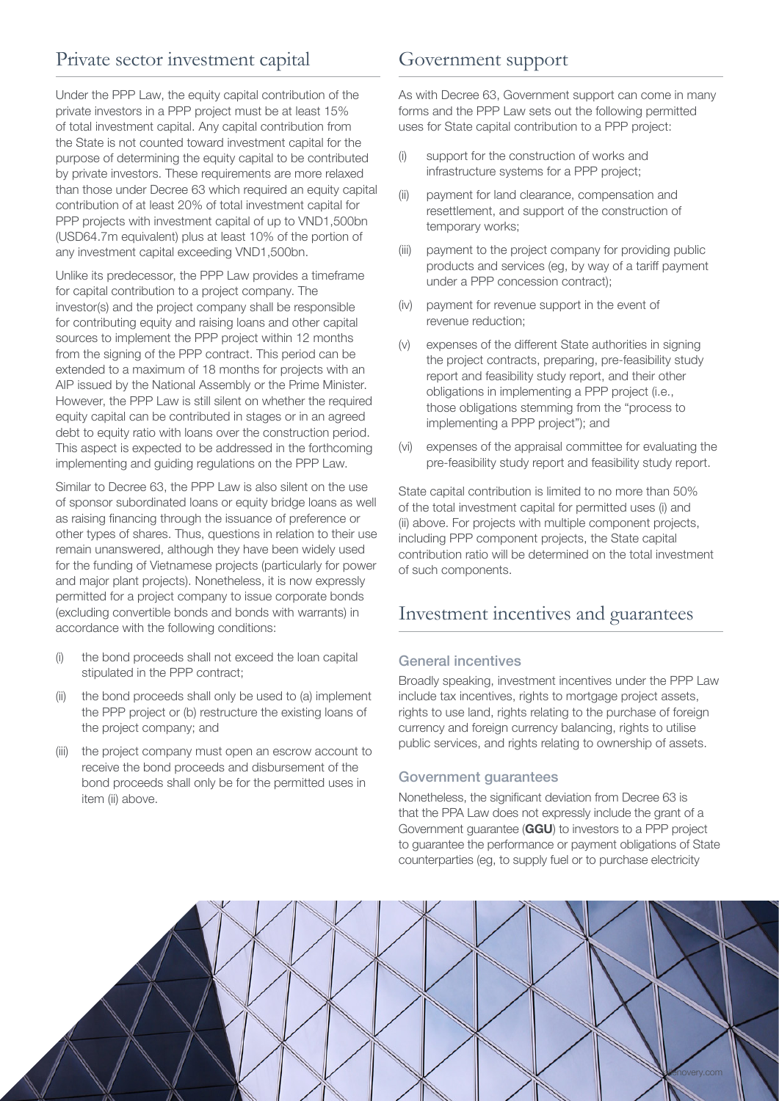## Private sector investment capital

Under the PPP Law, the equity capital contribution of the private investors in a PPP project must be at least 15% of total investment capital. Any capital contribution from the State is not counted toward investment capital for the purpose of determining the equity capital to be contributed by private investors. These requirements are more relaxed than those under Decree 63 which required an equity capital contribution of at least 20% of total investment capital for PPP projects with investment capital of up to VND1,500bn (USD64.7m equivalent) plus at least 10% of the portion of any investment capital exceeding VND1,500bn.

Unlike its predecessor, the PPP Law provides a timeframe for capital contribution to a project company. The investor(s) and the project company shall be responsible for contributing equity and raising loans and other capital sources to implement the PPP project within 12 months from the signing of the PPP contract. This period can be extended to a maximum of 18 months for projects with an AIP issued by the National Assembly or the Prime Minister. However, the PPP Law is still silent on whether the required equity capital can be contributed in stages or in an agreed debt to equity ratio with loans over the construction period. This aspect is expected to be addressed in the forthcoming implementing and guiding regulations on the PPP Law.

Similar to Decree 63, the PPP Law is also silent on the use of sponsor subordinated loans or equity bridge loans as well as raising financing through the issuance of preference or other types of shares. Thus, questions in relation to their use remain unanswered, although they have been widely used for the funding of Vietnamese projects (particularly for power and major plant projects). Nonetheless, it is now expressly permitted for a project company to issue corporate bonds (excluding convertible bonds and bonds with warrants) in accordance with the following conditions:

- (i) the bond proceeds shall not exceed the loan capital stipulated in the PPP contract;
- (ii) the bond proceeds shall only be used to (a) implement the PPP project or (b) restructure the existing loans of the project company; and
- (iii) the project company must open an escrow account to receive the bond proceeds and disbursement of the bond proceeds shall only be for the permitted uses in item (ii) above.

### Government support

As with Decree 63, Government support can come in many forms and the PPP Law sets out the following permitted uses for State capital contribution to a PPP project:

- (i) support for the construction of works and infrastructure systems for a PPP project;
- (ii) payment for land clearance, compensation and resettlement, and support of the construction of temporary works;
- (iii) payment to the project company for providing public products and services (eg, by way of a tariff payment under a PPP concession contract);
- (iv) payment for revenue support in the event of revenue reduction;
- (v) expenses of the different State authorities in signing the project contracts, preparing, pre-feasibility study report and feasibility study report, and their other obligations in implementing a PPP project (i.e., those obligations stemming from the "process to implementing a PPP project"); and
- (vi) expenses of the appraisal committee for evaluating the pre-feasibility study report and feasibility study report.

State capital contribution is limited to no more than 50% of the total investment capital for permitted uses (i) and (ii) above. For projects with multiple component projects, including PPP component projects, the State capital contribution ratio will be determined on the total investment of such components.

## Investment incentives and guarantees

#### General incentives

Broadly speaking, investment incentives under the PPP Law include tax incentives, rights to mortgage project assets, rights to use land, rights relating to the purchase of foreign currency and foreign currency balancing, rights to utilise public services, and rights relating to ownership of assets.

#### Government guarantees

Nonetheless, the significant deviation from Decree 63 is that the PPA Law does not expressly include the grant of a Government guarantee (GGU) to investors to a PPP project to guarantee the performance or payment obligations of State counterparties (eg, to supply fuel or to purchase electricity

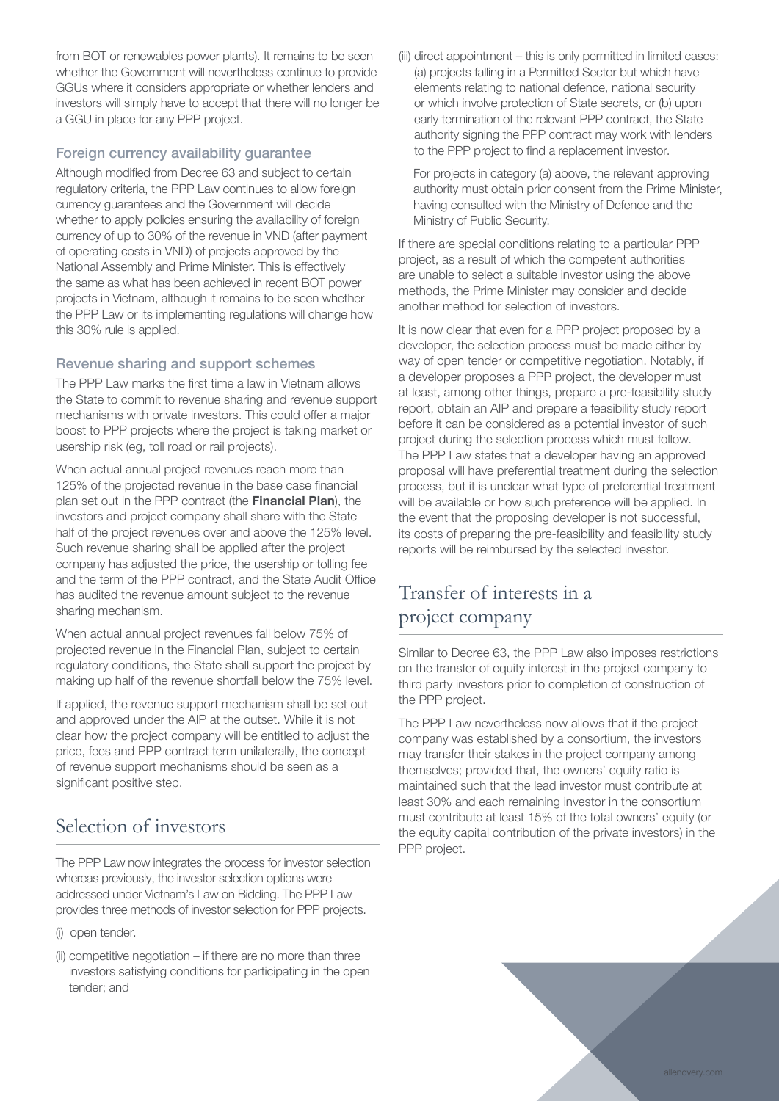from BOT or renewables power plants). It remains to be seen whether the Government will nevertheless continue to provide GGUs where it considers appropriate or whether lenders and investors will simply have to accept that there will no longer be a GGU in place for any PPP project.

#### Foreign currency availability guarantee

Although modified from Decree 63 and subject to certain regulatory criteria, the PPP Law continues to allow foreign currency guarantees and the Government will decide whether to apply policies ensuring the availability of foreign currency of up to 30% of the revenue in VND (after payment of operating costs in VND) of projects approved by the National Assembly and Prime Minister. This is effectively the same as what has been achieved in recent BOT power projects in Vietnam, although it remains to be seen whether the PPP Law or its implementing regulations will change how this 30% rule is applied.

#### Revenue sharing and support schemes

The PPP Law marks the first time a law in Vietnam allows the State to commit to revenue sharing and revenue support mechanisms with private investors. This could offer a major boost to PPP projects where the project is taking market or usership risk (eg, toll road or rail projects).

When actual annual project revenues reach more than 125% of the projected revenue in the base case financial plan set out in the PPP contract (the Financial Plan), the investors and project company shall share with the State half of the project revenues over and above the 125% level. Such revenue sharing shall be applied after the project company has adjusted the price, the usership or tolling fee and the term of the PPP contract, and the State Audit Office has audited the revenue amount subject to the revenue sharing mechanism.

When actual annual project revenues fall below 75% of projected revenue in the Financial Plan, subject to certain regulatory conditions, the State shall support the project by making up half of the revenue shortfall below the 75% level.

If applied, the revenue support mechanism shall be set out and approved under the AIP at the outset. While it is not clear how the project company will be entitled to adjust the price, fees and PPP contract term unilaterally, the concept of revenue support mechanisms should be seen as a significant positive step.

## Selection of investors

The PPP Law now integrates the process for investor selection whereas previously, the investor selection options were addressed under Vietnam's Law on Bidding. The PPP Law provides three methods of investor selection for PPP projects.

- (i) open tender.
- (ii) competitive negotiation if there are no more than three investors satisfying conditions for participating in the open tender; and

(iii) direct appointment – this is only permitted in limited cases: (a) projects falling in a Permitted Sector but which have elements relating to national defence, national security or which involve protection of State secrets, or (b) upon early termination of the relevant PPP contract, the State authority signing the PPP contract may work with lenders to the PPP project to find a replacement investor.

For projects in category (a) above, the relevant approving authority must obtain prior consent from the Prime Minister, having consulted with the Ministry of Defence and the Ministry of Public Security.

If there are special conditions relating to a particular PPP project, as a result of which the competent authorities are unable to select a suitable investor using the above methods, the Prime Minister may consider and decide another method for selection of investors.

It is now clear that even for a PPP project proposed by a developer, the selection process must be made either by way of open tender or competitive negotiation. Notably, if a developer proposes a PPP project, the developer must at least, among other things, prepare a pre-feasibility study report, obtain an AIP and prepare a feasibility study report before it can be considered as a potential investor of such project during the selection process which must follow. The PPP Law states that a developer having an approved proposal will have preferential treatment during the selection process, but it is unclear what type of preferential treatment will be available or how such preference will be applied. In the event that the proposing developer is not successful, its costs of preparing the pre-feasibility and feasibility study reports will be reimbursed by the selected investor.

## Transfer of interests in a project company

Similar to Decree 63, the PPP Law also imposes restrictions on the transfer of equity interest in the project company to third party investors prior to completion of construction of the PPP project.

The PPP Law nevertheless now allows that if the project company was established by a consortium, the investors may transfer their stakes in the project company among themselves; provided that, the owners' equity ratio is maintained such that the lead investor must contribute at least 30% and each remaining investor in the consortium must contribute at least 15% of the total owners' equity (or the equity capital contribution of the private investors) in the PPP project.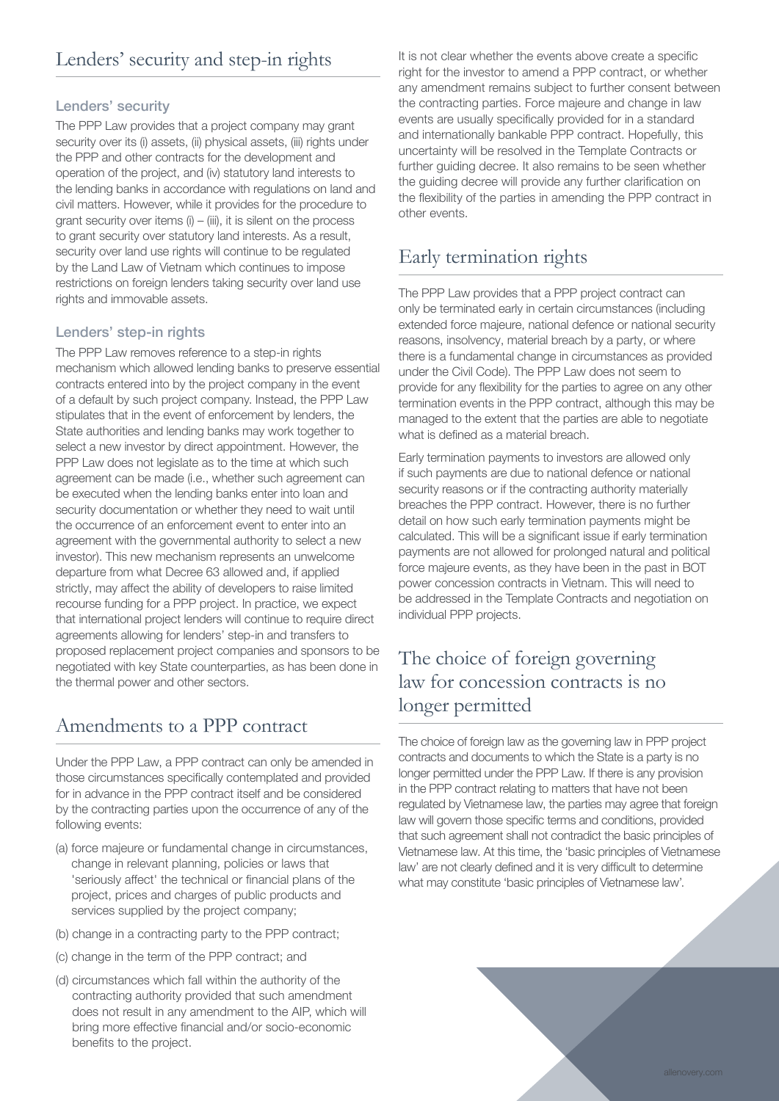#### Lenders' security

The PPP Law provides that a project company may grant security over its (i) assets, (ii) physical assets, (iii) rights under the PPP and other contracts for the development and operation of the project, and (iv) statutory land interests to the lending banks in accordance with regulations on land and civil matters. However, while it provides for the procedure to grant security over items  $(i) - (iii)$ , it is silent on the process to grant security over statutory land interests. As a result, security over land use rights will continue to be regulated by the Land Law of Vietnam which continues to impose restrictions on foreign lenders taking security over land use rights and immovable assets.

#### Lenders' step-in rights

The PPP Law removes reference to a step-in rights mechanism which allowed lending banks to preserve essential contracts entered into by the project company in the event of a default by such project company. Instead, the PPP Law stipulates that in the event of enforcement by lenders, the State authorities and lending banks may work together to select a new investor by direct appointment. However, the PPP Law does not legislate as to the time at which such agreement can be made (i.e., whether such agreement can be executed when the lending banks enter into loan and security documentation or whether they need to wait until the occurrence of an enforcement event to enter into an agreement with the governmental authority to select a new investor). This new mechanism represents an unwelcome departure from what Decree 63 allowed and, if applied strictly, may affect the ability of developers to raise limited recourse funding for a PPP project. In practice, we expect that international project lenders will continue to require direct agreements allowing for lenders' step-in and transfers to proposed replacement project companies and sponsors to be negotiated with key State counterparties, as has been done in the thermal power and other sectors.

## Amendments to a PPP contract

Under the PPP Law, a PPP contract can only be amended in those circumstances specifically contemplated and provided for in advance in the PPP contract itself and be considered by the contracting parties upon the occurrence of any of the following events:

- (a) force majeure or fundamental change in circumstances, change in relevant planning, policies or laws that 'seriously affect' the technical or financial plans of the project, prices and charges of public products and services supplied by the project company;
- (b) change in a contracting party to the PPP contract;
- (c) change in the term of the PPP contract; and
- (d) circumstances which fall within the authority of the contracting authority provided that such amendment does not result in any amendment to the AIP, which will bring more effective financial and/or socio‑economic benefits to the project.

It is not clear whether the events above create a specific right for the investor to amend a PPP contract, or whether any amendment remains subject to further consent between the contracting parties. Force majeure and change in law events are usually specifically provided for in a standard and internationally bankable PPP contract. Hopefully, this uncertainty will be resolved in the Template Contracts or further guiding decree. It also remains to be seen whether the guiding decree will provide any further clarification on the flexibility of the parties in amending the PPP contract in other events.

## Early termination rights

The PPP Law provides that a PPP project contract can only be terminated early in certain circumstances (including extended force majeure, national defence or national security reasons, insolvency, material breach by a party, or where there is a fundamental change in circumstances as provided under the Civil Code). The PPP Law does not seem to provide for any flexibility for the parties to agree on any other termination events in the PPP contract, although this may be managed to the extent that the parties are able to negotiate what is defined as a material breach.

Early termination payments to investors are allowed only if such payments are due to national defence or national security reasons or if the contracting authority materially breaches the PPP contract. However, there is no further detail on how such early termination payments might be calculated. This will be a significant issue if early termination payments are not allowed for prolonged natural and political force majeure events, as they have been in the past in BOT power concession contracts in Vietnam. This will need to be addressed in the Template Contracts and negotiation on individual PPP projects.

## The choice of foreign governing law for concession contracts is no longer permitted

The choice of foreign law as the governing law in PPP project contracts and documents to which the State is a party is no longer permitted under the PPP Law. If there is any provision in the PPP contract relating to matters that have not been regulated by Vietnamese law, the parties may agree that foreign law will govern those specific terms and conditions, provided that such agreement shall not contradict the basic principles of Vietnamese law. At this time, the 'basic principles of Vietnamese law' are not clearly defined and it is very difficult to determine what may constitute 'basic principles of Vietnamese law'.